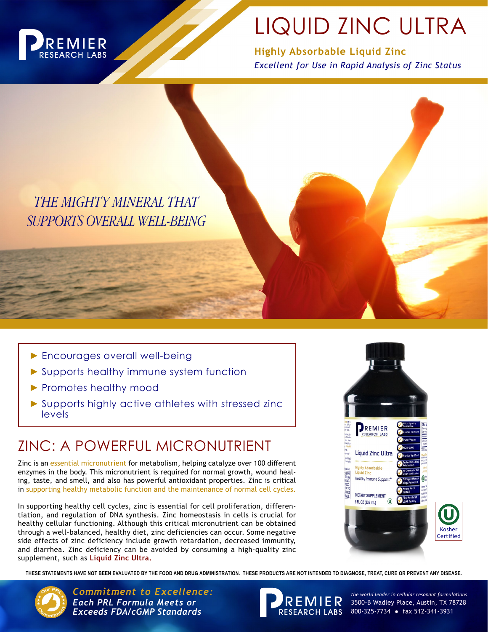

# LIQUID ZINC ULTRA

**Highly Absorbable Liquid Zinc** *Excellent for Use in Rapid Analysis of Zinc Status*

*THE MIGHTY MINERAL THAT SUPPORTS OVERALL WELL-BEING*

- ► Encourages overall well-being
- ► Supports healthy immune system function
- ▶ Promotes healthy mood
- ► Supports highly active athletes with stressed zinc levels

## ZINC: A POWERFUL MICRONUTRIENT

Zinc is an essential micronutrient for metabolism, helping catalyze over 100 different enzymes in the body. This micronutrient is required for normal growth, wound healing, taste, and smell, and also has powerful antioxidant properties. Zinc is critical in supporting healthy metabolic function and the maintenance of normal cell cycles.

In supporting healthy cell cycles, zinc is essential for cell proliferation, differentiation, and regulation of DNA synthesis. Zinc homeostasis in cells is crucial for healthy cellular functioning. Although this critical micronutrient can be obtained through a well-balanced, healthy diet, zinc deficiencies can occur. Some negative side effects of zinc deficiency include growth retardation, decreased immunity, and diarrhea. Zinc deficiency can be avoided by consuming a high-quality zinc supplement, such as **Liquid Zinc Ultra.**



**THESE STATEMENTS HAVE NOT BEEN EVALUATED BY THE FOOD AND DRUG ADMINISTRATION. THESE PRODUCTS ARE NOT INTENDED TO DIAGNOSE, TREAT, CURE OR PREVENT ANY DISEASE.**



Commitment to Excellence: *Commitment to Excellence: Each PRL Formula Meets or Exceeds FDA/cGMP Standards*



3500-B Wadley Place, Austin, TX 78728  $R \, \overline{B} \, \overline{C} \, \overline{D} \, \overline{D}$  3500-B Wadley Place, Austin, TX 78<br>RESEARCH LABS 800-325-7734 • fax 512-341-3931